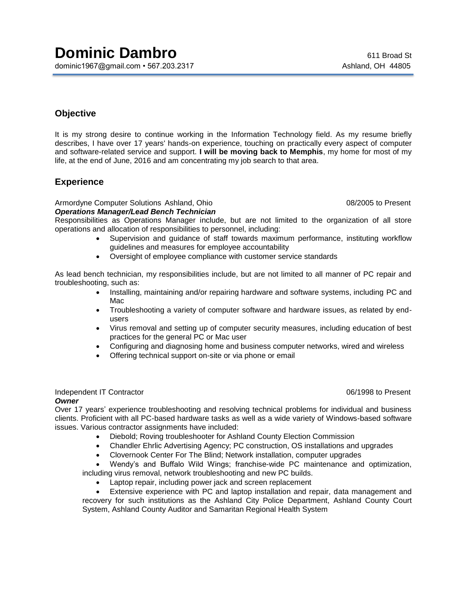# **Objective**

It is my strong desire to continue working in the Information Technology field. As my resume briefly describes, I have over 17 years' hands-on experience, touching on practically every aspect of computer and software-related service and support. **I will be moving back to Memphis**, my home for most of my life, at the end of June, 2016 and am concentrating my job search to that area.

## **Experience**

#### Armordyne Computer Solutions Ashland, Ohio 08/2005 to Present *Operations Manager/Lead Bench Technician*

Responsibilities as Operations Manager include, but are not limited to the organization of all store operations and allocation of responsibilities to personnel, including:

- Supervision and guidance of staff towards maximum performance, instituting workflow guidelines and measures for employee accountability
- Oversight of employee compliance with customer service standards

As lead bench technician, my responsibilities include, but are not limited to all manner of PC repair and troubleshooting, such as:

- Installing, maintaining and/or repairing hardware and software systems, including PC and Mac
- Troubleshooting a variety of computer software and hardware issues, as related by endusers
- Virus removal and setting up of computer security measures, including education of best practices for the general PC or Mac user
- Configuring and diagnosing home and business computer networks, wired and wireless
- Offering technical support on-site or via phone or email

### Independent IT Contractor 06/1998 to Present

#### *Owner*

Over 17 years' experience troubleshooting and resolving technical problems for individual and business clients. Proficient with all PC-based hardware tasks as well as a wide variety of Windows-based software issues. Various contractor assignments have included:

- Diebold; Roving troubleshooter for Ashland County Election Commission
- Chandler Ehrlic Advertising Agency; PC construction, OS installations and upgrades
- Clovernook Center For The Blind; Network installation, computer upgrades

 Wendy's and Buffalo Wild Wings; franchise-wide PC maintenance and optimization, including virus removal, network troubleshooting and new PC builds.

Laptop repair, including power jack and screen replacement

 Extensive experience with PC and laptop installation and repair, data management and recovery for such institutions as the Ashland City Police Department, Ashland County Court System, Ashland County Auditor and Samaritan Regional Health System